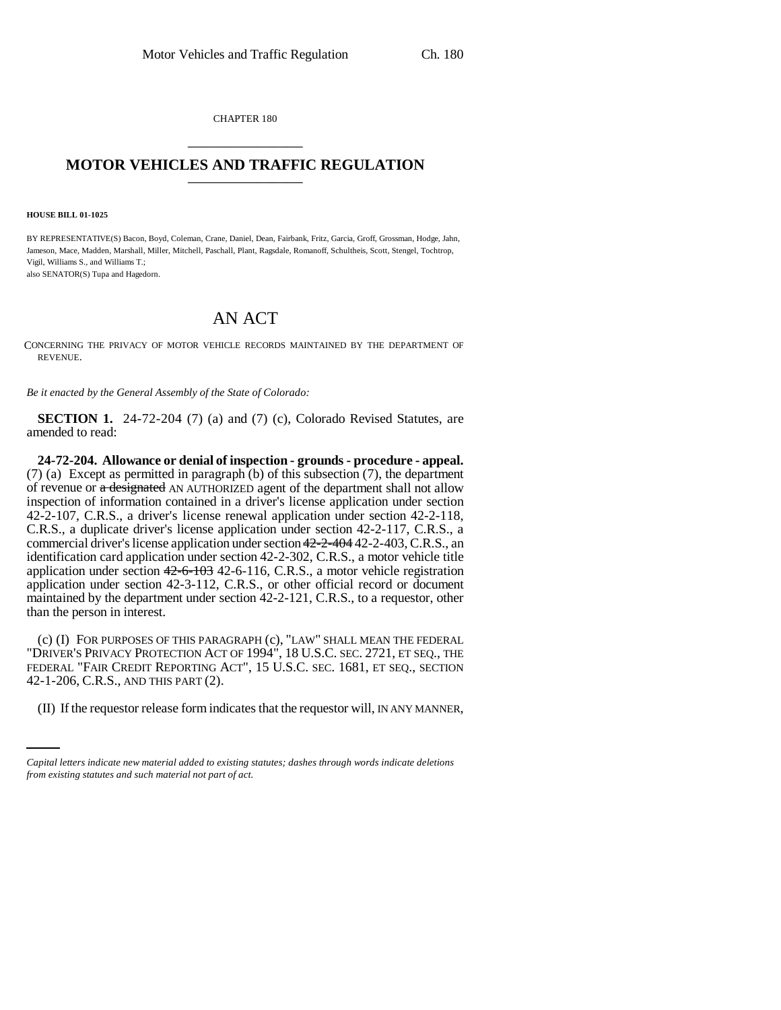CHAPTER 180 \_\_\_\_\_\_\_\_\_\_\_\_\_\_\_

## **MOTOR VEHICLES AND TRAFFIC REGULATION** \_\_\_\_\_\_\_\_\_\_\_\_\_\_\_

**HOUSE BILL 01-1025**

BY REPRESENTATIVE(S) Bacon, Boyd, Coleman, Crane, Daniel, Dean, Fairbank, Fritz, Garcia, Groff, Grossman, Hodge, Jahn, Jameson, Mace, Madden, Marshall, Miller, Mitchell, Paschall, Plant, Ragsdale, Romanoff, Schultheis, Scott, Stengel, Tochtrop, Vigil, Williams S., and Williams T.; also SENATOR(S) Tupa and Hagedorn.

## AN ACT

CONCERNING THE PRIVACY OF MOTOR VEHICLE RECORDS MAINTAINED BY THE DEPARTMENT OF REVENUE.

*Be it enacted by the General Assembly of the State of Colorado:*

**SECTION 1.** 24-72-204 (7) (a) and (7) (c), Colorado Revised Statutes, are amended to read:

**24-72-204. Allowance or denial of inspection - grounds - procedure - appeal.** (7) (a) Except as permitted in paragraph (b) of this subsection (7), the department of revenue or a designated AN AUTHORIZED agent of the department shall not allow inspection of information contained in a driver's license application under section 42-2-107, C.R.S., a driver's license renewal application under section 42-2-118, C.R.S., a duplicate driver's license application under section 42-2-117, C.R.S., a commercial driver's license application under section 42-2-404 42-2-403, C.R.S., an identification card application under section 42-2-302, C.R.S., a motor vehicle title application under section 42-6-103 42-6-116, C.R.S., a motor vehicle registration application under section 42-3-112, C.R.S., or other official record or document maintained by the department under section 42-2-121, C.R.S., to a requestor, other than the person in interest.

42-1-206, C.R.S., AND THIS PART (2). (c) (I) FOR PURPOSES OF THIS PARAGRAPH (c), "LAW" SHALL MEAN THE FEDERAL "DRIVER'S PRIVACY PROTECTION ACT OF 1994", 18 U.S.C. SEC. 2721, ET SEQ., THE FEDERAL "FAIR CREDIT REPORTING ACT", 15 U.S.C. SEC. 1681, ET SEQ., SECTION

(II) If the requestor release form indicates that the requestor will, IN ANY MANNER,

*Capital letters indicate new material added to existing statutes; dashes through words indicate deletions from existing statutes and such material not part of act.*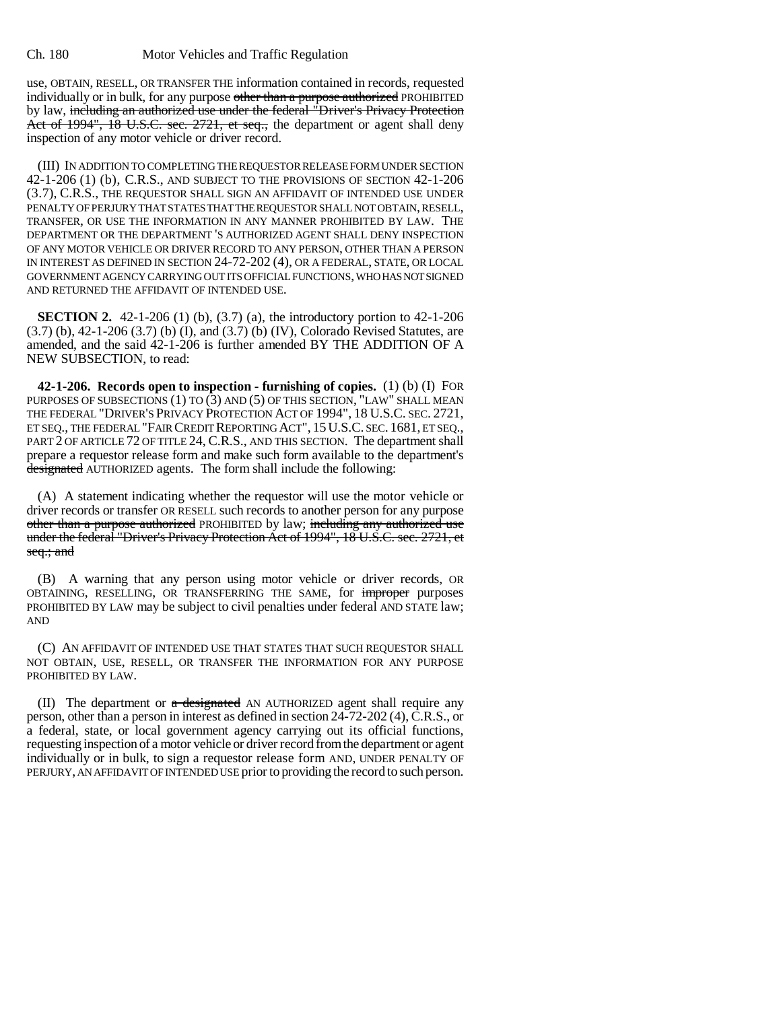use, OBTAIN, RESELL, OR TRANSFER THE information contained in records, requested individually or in bulk, for any purpose other than a purpose authorized PROHIBITED by law, including an authorized use under the federal "Driver's Privacy Protection Act of 1994", 18 U.S.C. sec. 2721, et seq., the department or agent shall deny inspection of any motor vehicle or driver record.

(III) IN ADDITION TO COMPLETING THE REQUESTOR RELEASE FORM UNDER SECTION 42-1-206 (1) (b), C.R.S., AND SUBJECT TO THE PROVISIONS OF SECTION 42-1-206 (3.7), C.R.S., THE REQUESTOR SHALL SIGN AN AFFIDAVIT OF INTENDED USE UNDER PENALTY OF PERJURY THAT STATES THAT THE REQUESTOR SHALL NOT OBTAIN, RESELL, TRANSFER, OR USE THE INFORMATION IN ANY MANNER PROHIBITED BY LAW. THE DEPARTMENT OR THE DEPARTMENT 'S AUTHORIZED AGENT SHALL DENY INSPECTION OF ANY MOTOR VEHICLE OR DRIVER RECORD TO ANY PERSON, OTHER THAN A PERSON IN INTEREST AS DEFINED IN SECTION 24-72-202 (4), OR A FEDERAL, STATE, OR LOCAL GOVERNMENT AGENCY CARRYING OUT ITS OFFICIAL FUNCTIONS, WHO HAS NOT SIGNED AND RETURNED THE AFFIDAVIT OF INTENDED USE.

**SECTION 2.** 42-1-206 (1) (b), (3.7) (a), the introductory portion to 42-1-206 (3.7) (b), 42-1-206 (3.7) (b) (I), and (3.7) (b) (IV), Colorado Revised Statutes, are amended, and the said 42-1-206 is further amended BY THE ADDITION OF A NEW SUBSECTION, to read:

**42-1-206. Records open to inspection - furnishing of copies.** (1) (b) (I) FOR PURPOSES OF SUBSECTIONS (1) TO (3) AND (5) OF THIS SECTION, "LAW" SHALL MEAN THE FEDERAL "DRIVER'S PRIVACY PROTECTION ACT OF 1994", 18 U.S.C. SEC. 2721, ET SEQ., THE FEDERAL "FAIR CREDIT REPORTING ACT", 15U.S.C. SEC. 1681, ET SEQ., PART 2 OF ARTICLE 72 OF TITLE 24, C.R.S., AND THIS SECTION. The department shall prepare a requestor release form and make such form available to the department's designated AUTHORIZED agents. The form shall include the following:

(A) A statement indicating whether the requestor will use the motor vehicle or driver records or transfer OR RESELL such records to another person for any purpose other than a purpose authorized PROHIBITED by law; including any authorized use under the federal "Driver's Privacy Protection Act of 1994", 18 U.S.C. sec. 2721, et seq.; and

(B) A warning that any person using motor vehicle or driver records, OR OBTAINING, RESELLING, OR TRANSFERRING THE SAME, for improper purposes PROHIBITED BY LAW may be subject to civil penalties under federal AND STATE law; AND

(C) AN AFFIDAVIT OF INTENDED USE THAT STATES THAT SUCH REQUESTOR SHALL NOT OBTAIN, USE, RESELL, OR TRANSFER THE INFORMATION FOR ANY PURPOSE PROHIBITED BY LAW.

(II) The department or  $\alpha$  designated AN AUTHORIZED agent shall require any person, other than a person in interest as defined in section 24-72-202 (4), C.R.S., or a federal, state, or local government agency carrying out its official functions, requesting inspection of a motor vehicle or driver record from the department or agent individually or in bulk, to sign a requestor release form AND, UNDER PENALTY OF PERJURY, AN AFFIDAVIT OF INTENDED USE prior to providing the record to such person.